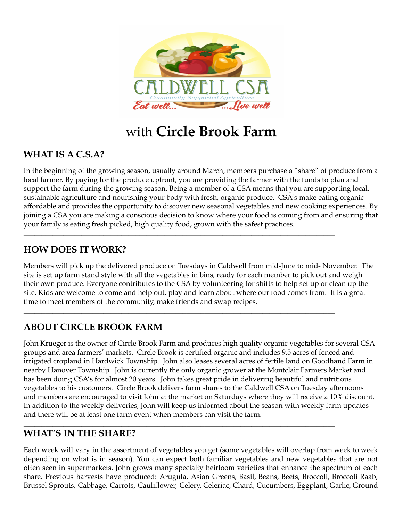

# with **Circle Brook Farm**

\_\_\_\_\_\_\_\_\_\_\_\_\_\_\_\_\_\_\_\_\_\_\_\_\_\_\_\_\_\_\_\_\_\_\_\_\_\_\_\_\_\_\_\_\_\_\_\_\_\_\_\_\_\_\_\_\_\_\_\_\_\_\_\_\_\_\_\_\_\_\_\_\_\_\_\_\_\_\_\_\_\_\_\_\_\_

\_\_\_\_\_\_\_\_\_\_\_\_\_\_\_\_\_\_\_\_\_\_\_\_\_\_\_\_\_\_\_\_\_\_\_\_\_\_\_\_\_\_\_\_\_\_\_\_\_\_\_\_\_\_\_\_\_\_\_\_\_\_\_\_\_\_\_\_\_\_\_\_\_\_\_\_\_\_\_\_\_\_\_\_\_\_

\_\_\_\_\_\_\_\_\_\_\_\_\_\_\_\_\_\_\_\_\_\_\_\_\_\_\_\_\_\_\_\_\_\_\_\_\_\_\_\_\_\_\_\_\_\_\_\_\_\_\_\_\_\_\_\_\_\_\_\_\_\_\_\_\_\_\_\_\_\_\_\_\_\_\_\_\_\_\_\_\_\_\_\_\_\_

\_\_\_\_\_\_\_\_\_\_\_\_\_\_\_\_\_\_\_\_\_\_\_\_\_\_\_\_\_\_\_\_\_\_\_\_\_\_\_\_\_\_\_\_\_\_\_\_\_\_\_\_\_\_\_\_\_\_\_\_\_\_\_\_\_\_\_\_\_\_\_\_\_\_\_\_\_\_\_\_\_\_\_\_\_\_

## **WHAT IS A C.S.A?**

In the beginning of the growing season, usually around March, members purchase a "share" of produce from a local farmer. By paying for the produce upfront, you are providing the farmer with the funds to plan and support the farm during the growing season. Being a member of a CSA means that you are supporting local, sustainable agriculture and nourishing your body with fresh, organic produce. CSA's make eating organic affordable and provides the opportunity to discover new seasonal vegetables and new cooking experiences. By joining a CSA you are making a conscious decision to know where your food is coming from and ensuring that your family is eating fresh picked, high quality food, grown with the safest practices.

## **HOW DOES IT WORK?**

Members will pick up the delivered produce on Tuesdays in Caldwell from mid-June to mid- November. The site is set up farm stand style with all the vegetables in bins, ready for each member to pick out and weigh their own produce. Everyone contributes to the CSA by volunteering for shifts to help set up or clean up the site. Kids are welcome to come and help out, play and learn about where our food comes from. It is a great time to meet members of the community, make friends and swap recipes.

## **ABOUT CIRCLE BROOK FARM**

John Krueger is the owner of Circle Brook Farm and produces high quality organic vegetables for several CSA groups and area farmers' markets. Circle Brook is certified organic and includes 9.5 acres of fenced and irrigated cropland in Hardwick Township. John also leases several acres of fertile land on Goodhand Farm in nearby Hanover Township. John is currently the only organic grower at the Montclair Farmers Market and has been doing CSA's for almost 20 years. John takes great pride in delivering beautiful and nutritious vegetables to his customers. Circle Brook delivers farm shares to the Caldwell CSA on Tuesday afternoons and members are encouraged to visit John at the market on Saturdays where they will receive a 10% discount. In addition to the weekly deliveries, John will keep us informed about the season with weekly farm updates and there will be at least one farm event when members can visit the farm.

## **WHAT'S IN THE SHARE?**

Each week will vary in the assortment of vegetables you get (some vegetables will overlap from week to week depending on what is in season). You can expect both familiar vegetables and new vegetables that are not often seen in supermarkets. John grows many specialty heirloom varieties that enhance the spectrum of each share. Previous harvests have produced: Arugula, Asian Greens, Basil, Beans, Beets, Broccoli, Broccoli Raab, Brussel Sprouts, Cabbage, Carrots, Cauliflower, Celery, Celeriac, Chard, Cucumbers, Eggplant, Garlic, Ground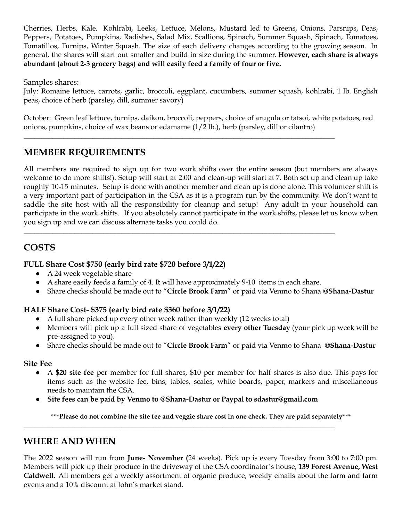Cherries, Herbs, Kale, Kohlrabi, Leeks, Lettuce, Melons, Mustard led to Greens, Onions, Parsnips, Peas, Peppers, Potatoes, Pumpkins, Radishes, Salad Mix, Scallions, Spinach, Summer Squash, Spinach, Tomatoes, Tomatillos, Turnips, Winter Squash. The size of each delivery changes according to the growing season. In general, the shares will start out smaller and build in size during the summer. **However, each share is always abundant (about 2-3 grocery bags) and will easily feed a family of four or five.**

Samples shares:

July: Romaine lettuce, carrots, garlic, broccoli, eggplant, cucumbers, summer squash, kohlrabi, 1 lb. English peas, choice of herb (parsley, dill, summer savory)

October: Green leaf lettuce, turnips, daikon, broccoli, peppers, choice of arugula or tatsoi, white potatoes, red onions, pumpkins, choice of wax beans or edamame (1/2 lb.), herb (parsley, dill or cilantro)

\_\_\_\_\_\_\_\_\_\_\_\_\_\_\_\_\_\_\_\_\_\_\_\_\_\_\_\_\_\_\_\_\_\_\_\_\_\_\_\_\_\_\_\_\_\_\_\_\_\_\_\_\_\_\_\_\_\_\_\_\_\_\_\_\_\_\_\_\_\_\_\_\_\_\_\_\_\_\_\_\_\_\_\_\_\_

## **MEMBER REQUIREMENTS**

All members are required to sign up for two work shifts over the entire season (but members are always welcome to do more shifts!). Setup will start at 2:00 and clean-up will start at 7. Both set up and clean up take roughly 10-15 minutes. Setup is done with another member and clean up is done alone. This volunteer shift is a very important part of participation in the CSA as it is a program run by the community. We don't want to saddle the site host with all the responsibility for cleanup and setup! Any adult in your household can participate in the work shifts. If you absolutely cannot participate in the work shifts, please let us know when you sign up and we can discuss alternate tasks you could do.

## **COSTS**

#### **FULL Share Cost \$750 (early bird rate \$720 before 3/1/22)**

- A 24 week vegetable share
- A share easily feeds a family of 4. It will have approximately 9-10 items in each share.

\_\_\_\_\_\_\_\_\_\_\_\_\_\_\_\_\_\_\_\_\_\_\_\_\_\_\_\_\_\_\_\_\_\_\_\_\_\_\_\_\_\_\_\_\_\_\_\_\_\_\_\_\_\_\_\_\_\_\_\_\_\_\_\_\_\_\_\_\_\_\_\_\_\_\_\_\_\_\_\_\_\_\_\_\_\_

**●** Share checks should be made out to "**Circle Brook Farm**" or paid via Venmo to Shana **@Shana-Dastur**

#### **HALF Share Cost- \$375 (early bird rate \$360 before 3/1/22)**

- A full share picked up every other week rather than weekly (12 weeks total)
- Members will pick up a full sized share of vegetables **every other Tuesday** (your pick up week will be pre-assigned to you).
- **●** Share checks should be made out to "**Circle Brook Farm**" or paid via Venmo to Shana **@Shana-Dastur**

#### **Site Fee**

- A **\$20 site fee** per member for full shares, \$10 per member for half shares is also due. This pays for items such as the website fee, bins, tables, scales, white boards, paper, markers and miscellaneous needs to maintain the CSA.
- **● Site fees can be paid by Venmo to @Shana-Dastur or Paypal to sdastur@gmail.com**

\_\_\_\_\_\_\_\_\_\_\_\_\_\_\_\_\_\_\_\_\_\_\_\_\_\_\_\_\_\_\_\_\_\_\_\_\_\_\_\_\_\_\_\_\_\_\_\_\_\_\_\_\_\_\_\_\_\_\_\_\_\_\_\_\_\_\_\_\_\_\_\_\_\_\_\_\_\_\_\_\_\_\_\_\_\_

\*\*\*Please do not combine the site fee and veggie share cost in one check. They are paid separately\*\*\*

## **WHERE AND WHEN**

The 2022 season will run from **June- November (**24 weeks). Pick up is every Tuesday from 3:00 to 7:00 pm. Members will pick up their produce in the driveway of the CSA coordinator's house, **139 Forest Avenue, West Caldwell.** All members get a weekly assortment of organic produce, weekly emails about the farm and farm events and a 10% discount at John's market stand.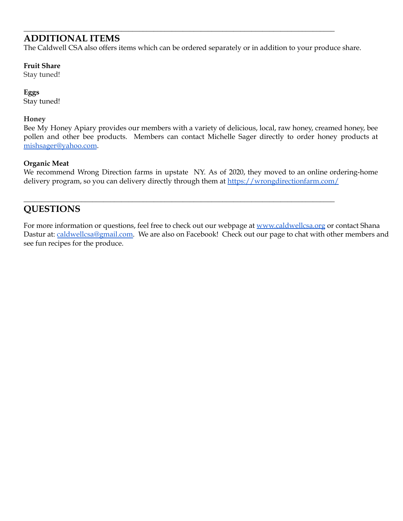## **ADDITIONAL ITEMS**

The Caldwell CSA also offers items which can be ordered separately or in addition to your produce share.

\_\_\_\_\_\_\_\_\_\_\_\_\_\_\_\_\_\_\_\_\_\_\_\_\_\_\_\_\_\_\_\_\_\_\_\_\_\_\_\_\_\_\_\_\_\_\_\_\_\_\_\_\_\_\_\_\_\_\_\_\_\_\_\_\_\_\_\_\_\_\_\_\_\_\_\_\_\_\_\_\_\_\_\_\_\_

#### **Fruit Share**

Stay tuned!

**Eggs** Stay tuned!

#### **Honey**

Bee My Honey Apiary provides our members with a variety of delicious, local, raw honey, creamed honey, bee pollen and other bee p[ro](https://wrongdirectionfarm.com/)ducts. Members can contact Michelle Sager directly to order honey products at [mishsager@yahoo.com](mailto:mishsager@yahoo.com).

#### **Organic Meat**

We recommend Wrong Direction farms in upstate NY. As of 2020, they moved to an online ordering-home delivery program, so you can delivery directly through them at <https://wrongdirectionfarm.com/>

\_\_\_\_\_\_\_\_\_\_\_\_\_\_\_\_\_\_\_\_\_\_\_\_\_\_\_\_\_\_\_\_\_\_\_\_\_\_\_\_\_\_\_\_\_\_\_\_\_\_\_\_\_\_\_\_\_\_\_\_\_\_\_\_\_\_\_\_\_\_\_\_\_\_\_\_\_\_\_\_\_\_\_\_\_\_

## **QUESTIONS**

For more information or questions, feel free to check out our webpage at [www.caldwellcsa.org](http://www.caldwellcsa.org) or contact Shana Dastur at: [caldwellcsa@gmail.com.](http://www.caldwellcsa.org) We are also on Facebook! Check out our page to chat with other members and see fun recipes for the produce.